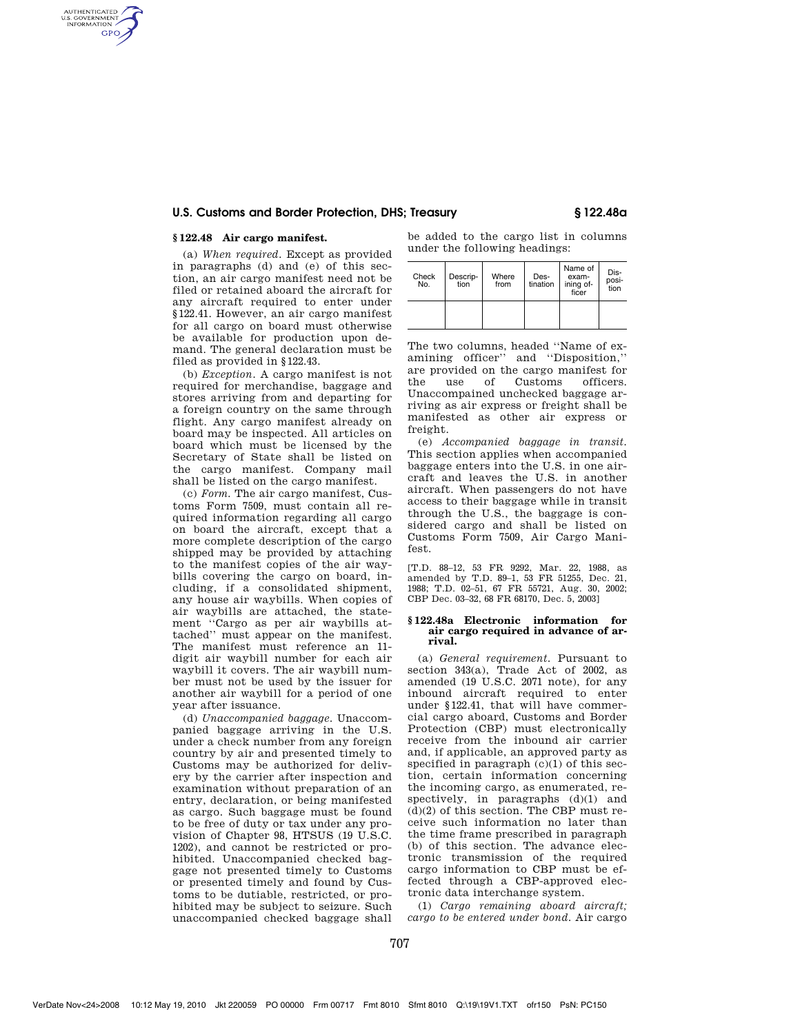# **U.S. Customs and Border Protection, DHS; Treasury § 122.48a**

## **§ 122.48 Air cargo manifest.**

AUTHENTICATED<br>U.S. GOVERNMENT<br>INFORMATION **GPO** 

> (a) *When required.* Except as provided in paragraphs (d) and (e) of this section, an air cargo manifest need not be filed or retained aboard the aircraft for any aircraft required to enter under §122.41. However, an air cargo manifest for all cargo on board must otherwise be available for production upon demand. The general declaration must be filed as provided in §122.43.

> (b) *Exception.* A cargo manifest is not required for merchandise, baggage and stores arriving from and departing for a foreign country on the same through flight. Any cargo manifest already on board may be inspected. All articles on board which must be licensed by the Secretary of State shall be listed on the cargo manifest. Company mail shall be listed on the cargo manifest.

> (c) *Form.* The air cargo manifest, Customs Form 7509, must contain all required information regarding all cargo on board the aircraft, except that a more complete description of the cargo shipped may be provided by attaching to the manifest copies of the air waybills covering the cargo on board, including, if a consolidated shipment, any house air waybills. When copies of air waybills are attached, the statement ''Cargo as per air waybills attached'' must appear on the manifest. The manifest must reference an 11 digit air waybill number for each air waybill it covers. The air waybill number must not be used by the issuer for another air waybill for a period of one year after issuance.

> (d) *Unaccompanied baggage.* Unaccompanied baggage arriving in the U.S. under a check number from any foreign country by air and presented timely to Customs may be authorized for delivery by the carrier after inspection and examination without preparation of an entry, declaration, or being manifested as cargo. Such baggage must be found to be free of duty or tax under any provision of Chapter 98, HTSUS (19 U.S.C. 1202), and cannot be restricted or prohibited. Unaccompanied checked baggage not presented timely to Customs or presented timely and found by Customs to be dutiable, restricted, or prohibited may be subject to seizure. Such unaccompanied checked baggage shall

be added to the cargo list in columns under the following headings:

| Check<br>No. | Descrip-<br>tion | Where<br>from | Des-<br>tination | Name of<br>exam-<br>ining of-<br>ficer | Dis-<br>posi-<br>tion |
|--------------|------------------|---------------|------------------|----------------------------------------|-----------------------|
|              |                  |               |                  |                                        |                       |

The two columns, headed ''Name of examining officer'' and ''Disposition,'' are provided on the cargo manifest for the use of Customs officers. Unaccompained unchecked baggage arriving as air express or freight shall be manifested as other air express or freight.

(e) *Accompanied baggage in transit.*  This section applies when accompanied baggage enters into the U.S. in one aircraft and leaves the U.S. in another aircraft. When passengers do not have access to their baggage while in transit through the U.S., the baggage is considered cargo and shall be listed on Customs Form 7509, Air Cargo Manifest.

[T.D. 88–12, 53 FR 9292, Mar. 22, 1988, as amended by T.D. 89–1, 53 FR 51255, Dec. 21, 1988; T.D. 02–51, 67 FR 55721, Aug. 30, 2002; CBP Dec. 03–32, 68 FR 68170, Dec. 5, 2003]

### **§ 122.48a Electronic information for air cargo required in advance of arrival.**

(a) *General requirement.* Pursuant to section 343(a), Trade Act of 2002, as amended (19 U.S.C. 2071 note), for any inbound aircraft required to enter under §122.41, that will have commercial cargo aboard, Customs and Border Protection (CBP) must electronically receive from the inbound air carrier and, if applicable, an approved party as specified in paragraph  $(c)(1)$  of this section, certain information concerning the incoming cargo, as enumerated, respectively, in paragraphs  $(d)(1)$  and  $(d)(2)$  of this section. The CBP must receive such information no later than the time frame prescribed in paragraph (b) of this section. The advance electronic transmission of the required cargo information to CBP must be effected through a CBP-approved electronic data interchange system.

(1) *Cargo remaining aboard aircraft; cargo to be entered under bond.* Air cargo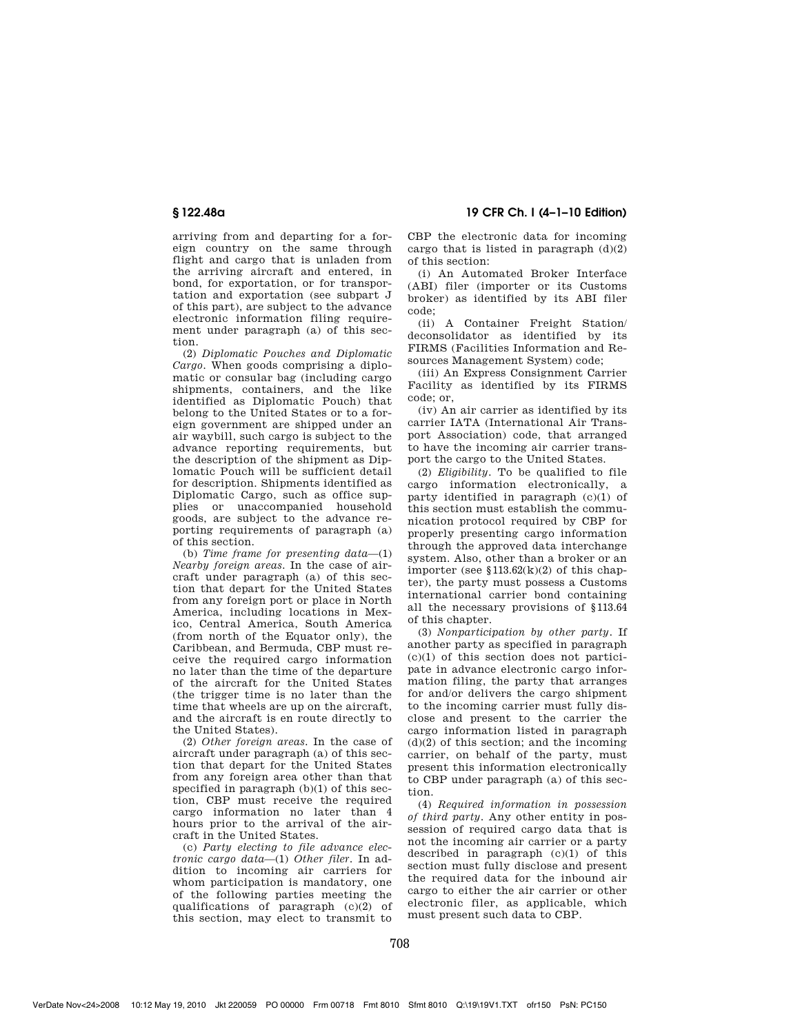arriving from and departing for a for-

eign country on the same through flight and cargo that is unladen from the arriving aircraft and entered, in bond, for exportation, or for transportation and exportation (see subpart J of this part), are subject to the advance electronic information filing requirement under paragraph (a) of this section.

(2) *Diplomatic Pouches and Diplomatic Cargo.* When goods comprising a diplomatic or consular bag (including cargo shipments, containers, and the like identified as Diplomatic Pouch) that belong to the United States or to a foreign government are shipped under an air waybill, such cargo is subject to the advance reporting requirements, but the description of the shipment as Diplomatic Pouch will be sufficient detail for description. Shipments identified as Diplomatic Cargo, such as office supplies or unaccompanied household goods, are subject to the advance reporting requirements of paragraph (a) of this section.

(b) *Time frame for presenting data*—(1) *Nearby foreign areas.* In the case of aircraft under paragraph (a) of this section that depart for the United States from any foreign port or place in North America, including locations in Mexico, Central America, South America (from north of the Equator only), the Caribbean, and Bermuda, CBP must receive the required cargo information no later than the time of the departure of the aircraft for the United States (the trigger time is no later than the time that wheels are up on the aircraft, and the aircraft is en route directly to the United States).

(2) *Other foreign areas.* In the case of aircraft under paragraph (a) of this section that depart for the United States from any foreign area other than that specified in paragraph (b)(1) of this section, CBP must receive the required cargo information no later than 4 hours prior to the arrival of the aircraft in the United States.

(c) *Party electing to file advance electronic cargo data*—(1) *Other filer.* In addition to incoming air carriers for whom participation is mandatory, one of the following parties meeting the qualifications of paragraph (c)(2) of this section, may elect to transmit to

CBP the electronic data for incoming cargo that is listed in paragraph  $(d)(2)$ of this section:

(i) An Automated Broker Interface (ABI) filer (importer or its Customs broker) as identified by its ABI filer code;

(ii) A Container Freight Station/ deconsolidator as identified by its FIRMS (Facilities Information and Resources Management System) code;

(iii) An Express Consignment Carrier Facility as identified by its FIRMS code; or,

(iv) An air carrier as identified by its carrier IATA (International Air Transport Association) code, that arranged to have the incoming air carrier transport the cargo to the United States.

(2) *Eligibility.* To be qualified to file cargo information electronically, a party identified in paragraph (c)(1) of this section must establish the communication protocol required by CBP for properly presenting cargo information through the approved data interchange system. Also, other than a broker or an importer (see  $$113.62(k)(2)$  of this chapter), the party must possess a Customs international carrier bond containing all the necessary provisions of §113.64 of this chapter.

(3) *Nonparticipation by other party.* If another party as specified in paragraph  $(c)(1)$  of this section does not participate in advance electronic cargo information filing, the party that arranges for and/or delivers the cargo shipment to the incoming carrier must fully disclose and present to the carrier the cargo information listed in paragraph  $(d)(2)$  of this section; and the incoming carrier, on behalf of the party, must present this information electronically to CBP under paragraph (a) of this section.

(4) *Required information in possession of third party.* Any other entity in possession of required cargo data that is not the incoming air carrier or a party described in paragraph (c)(1) of this section must fully disclose and present the required data for the inbound air cargo to either the air carrier or other electronic filer, as applicable, which must present such data to CBP.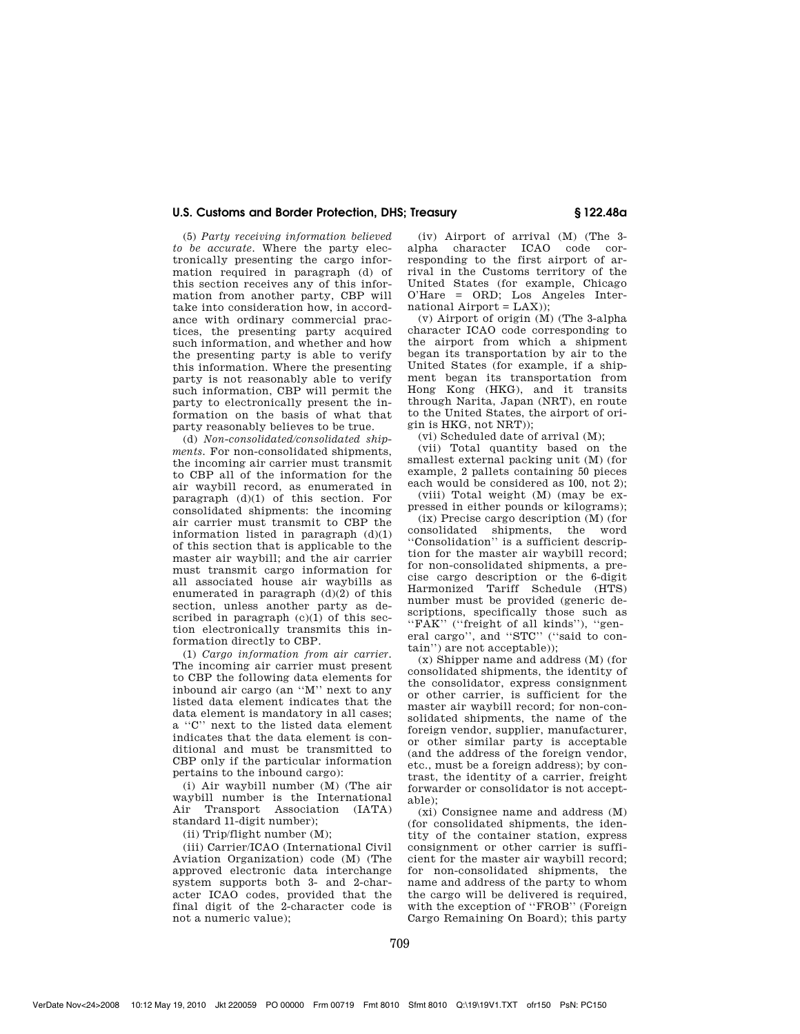# **U.S. Customs and Border Protection, DHS; Treasury § 122.48a**

(5) *Party receiving information believed to be accurate.* Where the party electronically presenting the cargo information required in paragraph (d) of this section receives any of this information from another party, CBP will take into consideration how, in accordance with ordinary commercial practices, the presenting party acquired such information, and whether and how the presenting party is able to verify this information. Where the presenting party is not reasonably able to verify such information, CBP will permit the party to electronically present the information on the basis of what that party reasonably believes to be true.

(d) *Non-consolidated/consolidated shipments.* For non-consolidated shipments, the incoming air carrier must transmit to CBP all of the information for the air waybill record, as enumerated in paragraph (d)(1) of this section. For consolidated shipments: the incoming air carrier must transmit to CBP the information listed in paragraph (d)(1) of this section that is applicable to the master air waybill; and the air carrier must transmit cargo information for all associated house air waybills as enumerated in paragraph (d)(2) of this section, unless another party as described in paragraph (c)(1) of this section electronically transmits this information directly to CBP.

(1) *Cargo information from air carrier.*  The incoming air carrier must present to CBP the following data elements for inbound air cargo (an ''M'' next to any listed data element indicates that the data element is mandatory in all cases; a ''C'' next to the listed data element indicates that the data element is conditional and must be transmitted to CBP only if the particular information pertains to the inbound cargo):

(i) Air waybill number (M) (The air waybill number is the International Air Transport Association (IATA) standard 11-digit number);

(ii) Trip/flight number (M);

(iii) Carrier/ICAO (International Civil Aviation Organization) code (M) (The approved electronic data interchange system supports both 3- and 2-character ICAO codes, provided that the final digit of the 2-character code is not a numeric value);

(iv) Airport of arrival (M) (The 3 alpha character ICAO code corresponding to the first airport of arrival in the Customs territory of the United States (for example, Chicago O'Hare = ORD; Los Angeles International  $Airport = LAX$ );

(v) Airport of origin (M) (The 3-alpha character ICAO code corresponding to the airport from which a shipment began its transportation by air to the United States (for example, if a shipment began its transportation from Hong Kong (HKG), and it transits through Narita, Japan (NRT), en route to the United States, the airport of origin is HKG, not NRT));

(vi) Scheduled date of arrival (M);

(vii) Total quantity based on the smallest external packing unit (M) (for example, 2 pallets containing 50 pieces each would be considered as 100, not 2);

(viii) Total weight (M) (may be expressed in either pounds or kilograms);

(ix) Precise cargo description (M) (for consolidated shipments, the word ''Consolidation'' is a sufficient description for the master air waybill record; for non-consolidated shipments, a precise cargo description or the 6-digit Harmonized Tariff Schedule (HTS) number must be provided (generic descriptions, specifically those such as "FAK" ("freight of all kinds"), "general cargo", and "STC" ("said to contain'') are not acceptable));

(x) Shipper name and address (M) (for consolidated shipments, the identity of the consolidator, express consignment or other carrier, is sufficient for the master air waybill record; for non-consolidated shipments, the name of the foreign vendor, supplier, manufacturer, or other similar party is acceptable (and the address of the foreign vendor, etc., must be a foreign address); by contrast, the identity of a carrier, freight forwarder or consolidator is not acceptable);

(xi) Consignee name and address (M) (for consolidated shipments, the identity of the container station, express consignment or other carrier is sufficient for the master air waybill record; for non-consolidated shipments, the name and address of the party to whom the cargo will be delivered is required. with the exception of ''FROB'' (Foreign Cargo Remaining On Board); this party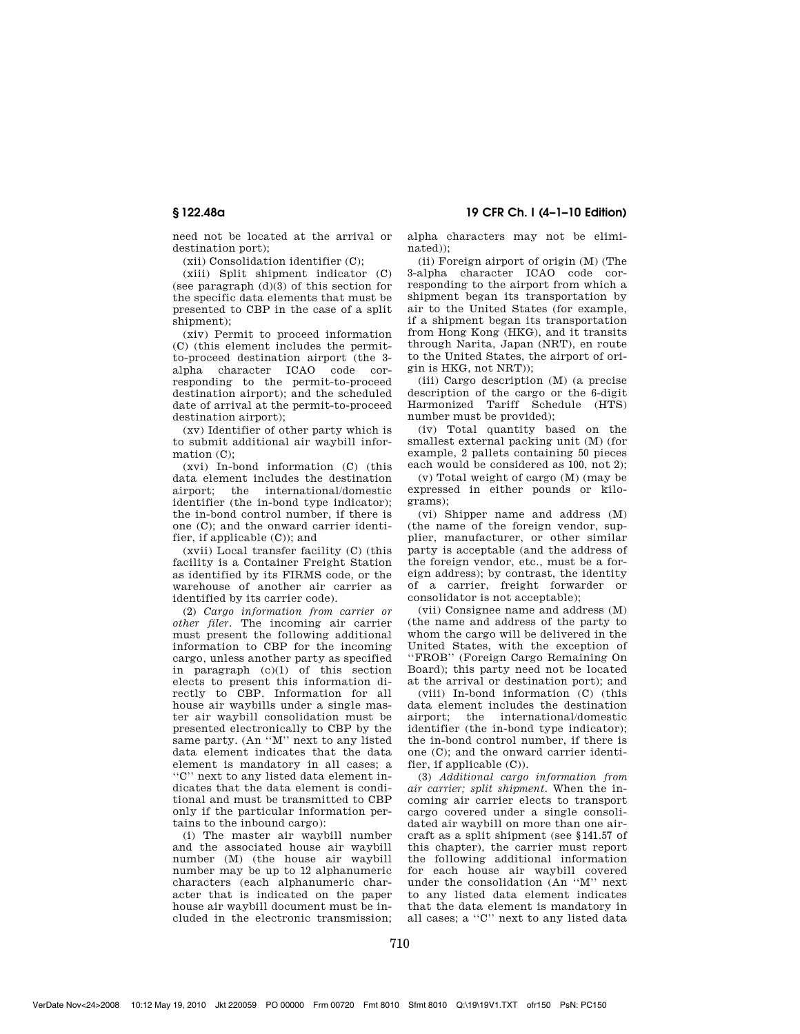**§ 122.48a 19 CFR Ch. I (4–1–10 Edition)** 

need not be located at the arrival or destination port);

(xii) Consolidation identifier (C);

(xiii) Split shipment indicator (C) (see paragraph (d)(3) of this section for the specific data elements that must be presented to CBP in the case of a split shipment);

(xiv) Permit to proceed information (C) (this element includes the permitto-proceed destination airport (the 3 alpha character ICAO code corresponding to the permit-to-proceed destination airport); and the scheduled date of arrival at the permit-to-proceed destination airport);

(xv) Identifier of other party which is to submit additional air waybill information (C):

(xvi) In-bond information (C) (this data element includes the destination airport; the international/domestic identifier (the in-bond type indicator); the in-bond control number, if there is one (C); and the onward carrier identifier, if applicable (C)); and

(xvii) Local transfer facility (C) (this facility is a Container Freight Station as identified by its FIRMS code, or the warehouse of another air carrier as identified by its carrier code).

(2) *Cargo information from carrier or other filer.* The incoming air carrier must present the following additional information to CBP for the incoming cargo, unless another party as specified in paragraph (c)(1) of this section elects to present this information directly to CBP. Information for all house air waybills under a single master air waybill consolidation must be presented electronically to CBP by the same party. (An ''M'' next to any listed data element indicates that the data element is mandatory in all cases; a ''C'' next to any listed data element indicates that the data element is conditional and must be transmitted to CBP only if the particular information pertains to the inbound cargo):

(i) The master air waybill number and the associated house air waybill number (M) (the house air waybill number may be up to 12 alphanumeric characters (each alphanumeric character that is indicated on the paper house air waybill document must be included in the electronic transmission;

alpha characters may not be eliminated));

(ii) Foreign airport of origin (M) (The 3-alpha character ICAO code corresponding to the airport from which a shipment began its transportation by air to the United States (for example, if a shipment began its transportation from Hong Kong (HKG), and it transits through Narita, Japan (NRT), en route to the United States, the airport of origin is HKG, not NRT));

(iii) Cargo description (M) (a precise description of the cargo or the 6-digit Harmonized Tariff Schedule (HTS) number must be provided);

(iv) Total quantity based on the smallest external packing unit (M) (for example, 2 pallets containing 50 pieces each would be considered as 100, not 2);

(v) Total weight of cargo (M) (may be expressed in either pounds or kilograms);

(vi) Shipper name and address (M) (the name of the foreign vendor, supplier, manufacturer, or other similar party is acceptable (and the address of the foreign vendor, etc., must be a foreign address); by contrast, the identity of a carrier, freight forwarder or consolidator is not acceptable);

(vii) Consignee name and address (M) (the name and address of the party to whom the cargo will be delivered in the United States, with the exception of ''FROB'' (Foreign Cargo Remaining On Board); this party need not be located at the arrival or destination port); and

(viii) In-bond information (C) (this data element includes the destination airport; the international/domestic identifier (the in-bond type indicator); the in-bond control number, if there is one (C); and the onward carrier identifier, if applicable (C)).

(3) *Additional cargo information from air carrier; split shipment.* When the incoming air carrier elects to transport cargo covered under a single consolidated air waybill on more than one aircraft as a split shipment (see §141.57 of this chapter), the carrier must report the following additional information for each house air waybill covered under the consolidation (An ''M'' next to any listed data element indicates that the data element is mandatory in all cases; a ''C'' next to any listed data